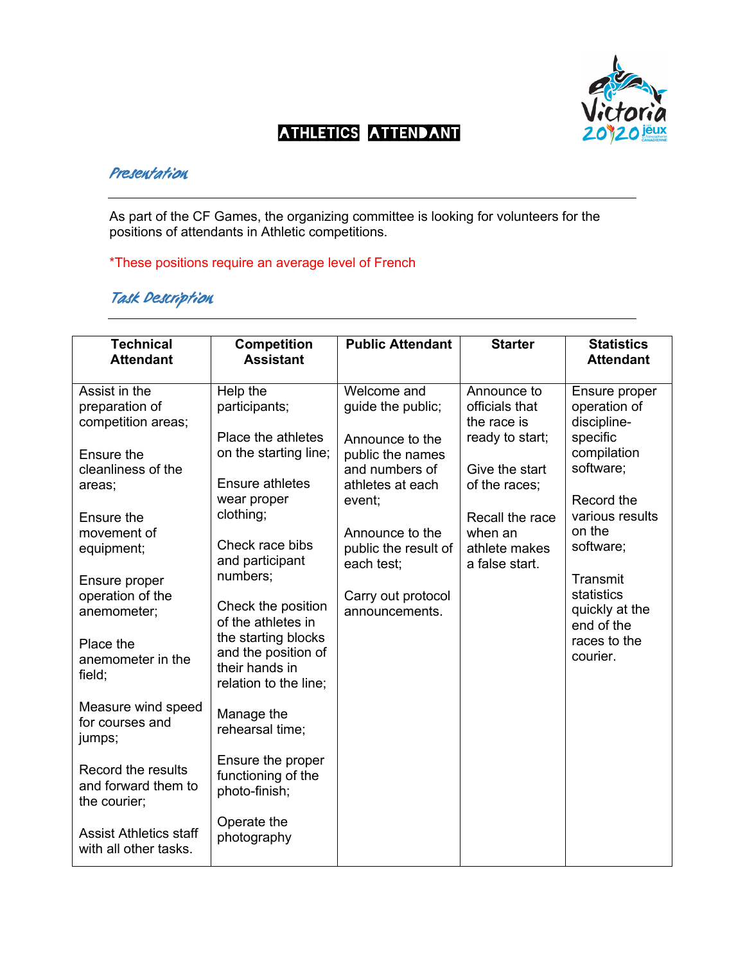

## $\mathcal{L}$ Athletics attendant

## **Presentation**

As part of the CF Games, the organizing committee is looking for volunteers for the positions of attendants in Athletic competitions.

\*These positions require an average level of French

## **Task Description**

| <b>Technical</b>                                          | <b>Competition</b>                                                                                | <b>Public Attendant</b>                                                                                | <b>Starter</b>                                                                                                      | <b>Statistics</b>                                                                                                                                        |
|-----------------------------------------------------------|---------------------------------------------------------------------------------------------------|--------------------------------------------------------------------------------------------------------|---------------------------------------------------------------------------------------------------------------------|----------------------------------------------------------------------------------------------------------------------------------------------------------|
| <b>Attendant</b>                                          | <b>Assistant</b>                                                                                  |                                                                                                        |                                                                                                                     | <b>Attendant</b>                                                                                                                                         |
| Assist in the<br>preparation of<br>competition areas;     | Help the<br>participants;                                                                         | Welcome and<br>guide the public;                                                                       | Announce to<br>officials that<br>the race is                                                                        | Ensure proper<br>operation of<br>discipline-<br>specific<br>compilation<br>software;<br>Record the<br>various results<br>on the<br>software;<br>Transmit |
| Ensure the<br>cleanliness of the<br>areas;                | Place the athletes<br>on the starting line;<br><b>Ensure athletes</b><br>wear proper<br>clothing; | Announce to the<br>public the names<br>and numbers of<br>athletes at each<br>event;<br>Announce to the | ready to start;<br>Give the start<br>of the races;<br>Recall the race<br>when an<br>athlete makes<br>a false start. |                                                                                                                                                          |
| Ensure the<br>movement of                                 |                                                                                                   |                                                                                                        |                                                                                                                     |                                                                                                                                                          |
| equipment;<br>Ensure proper                               | Check race bibs<br>and participant<br>numbers;                                                    | public the result of<br>each test;                                                                     |                                                                                                                     |                                                                                                                                                          |
| operation of the<br>anemometer;                           | Check the position<br>of the athletes in                                                          | Carry out protocol<br>announcements.                                                                   |                                                                                                                     | statistics<br>quickly at the<br>end of the                                                                                                               |
| Place the<br>anemometer in the<br>field;                  | the starting blocks<br>and the position of<br>their hands in<br>relation to the line;             |                                                                                                        |                                                                                                                     | races to the<br>courier.                                                                                                                                 |
| Measure wind speed<br>for courses and<br>jumps;           | Manage the<br>rehearsal time;                                                                     |                                                                                                        |                                                                                                                     |                                                                                                                                                          |
| Record the results<br>and forward them to<br>the courier; | Ensure the proper<br>functioning of the<br>photo-finish;                                          |                                                                                                        |                                                                                                                     |                                                                                                                                                          |
| <b>Assist Athletics staff</b><br>with all other tasks.    | Operate the<br>photography                                                                        |                                                                                                        |                                                                                                                     |                                                                                                                                                          |